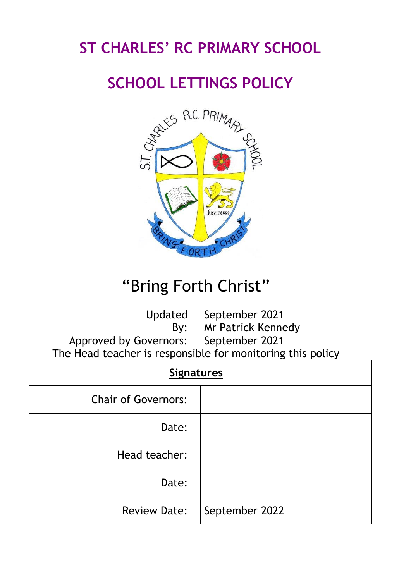## **ST CHARLES' RC PRIMARY SCHOOL**

## **SCHOOL LETTINGS POLICY**



# "Bring Forth Christ"

Updated September 2021 By: Mr Patrick Kennedy Approved by Governors: September 2021 The Head teacher is responsible for monitoring this policy

| <b>Signatures</b>          |                |  |  |  |  |  |
|----------------------------|----------------|--|--|--|--|--|
| <b>Chair of Governors:</b> |                |  |  |  |  |  |
| Date:                      |                |  |  |  |  |  |
| Head teacher:              |                |  |  |  |  |  |
| Date:                      |                |  |  |  |  |  |
| <b>Review Date:</b>        | September 2022 |  |  |  |  |  |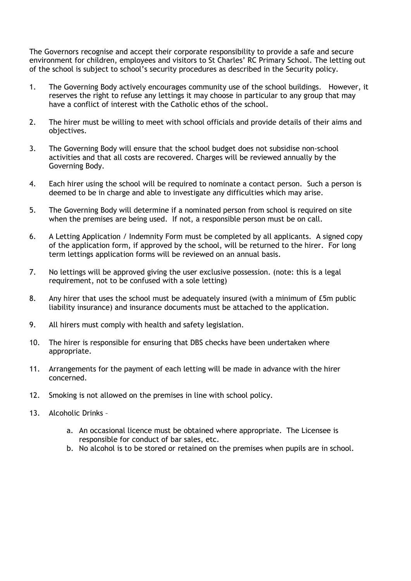The Governors recognise and accept their corporate responsibility to provide a safe and secure environment for children, employees and visitors to St Charles' RC Primary School. The letting out of the school is subject to school's security procedures as described in the Security policy.

- 1. The Governing Body actively encourages community use of the school buildings. However, it reserves the right to refuse any lettings it may choose in particular to any group that may have a conflict of interest with the Catholic ethos of the school.
- 2. The hirer must be willing to meet with school officials and provide details of their aims and objectives.
- 3. The Governing Body will ensure that the school budget does not subsidise non-school activities and that all costs are recovered. Charges will be reviewed annually by the Governing Body.
- 4. Each hirer using the school will be required to nominate a contact person. Such a person is deemed to be in charge and able to investigate any difficulties which may arise.
- 5. The Governing Body will determine if a nominated person from school is required on site when the premises are being used. If not, a responsible person must be on call.
- 6. A Letting Application / Indemnity Form must be completed by all applicants. A signed copy of the application form, if approved by the school, will be returned to the hirer. For long term lettings application forms will be reviewed on an annual basis.
- 7. No lettings will be approved giving the user exclusive possession. (note: this is a legal requirement, not to be confused with a sole letting)
- 8. Any hirer that uses the school must be adequately insured (with a minimum of £5m public liability insurance) and insurance documents must be attached to the application.
- 9. All hirers must comply with health and safety legislation.
- 10. The hirer is responsible for ensuring that DBS checks have been undertaken where appropriate.
- 11. Arrangements for the payment of each letting will be made in advance with the hirer concerned.
- 12. Smoking is not allowed on the premises in line with school policy.
- 13. Alcoholic Drinks
	- a. An occasional licence must be obtained where appropriate. The Licensee is responsible for conduct of bar sales, etc.
	- b. No alcohol is to be stored or retained on the premises when pupils are in school.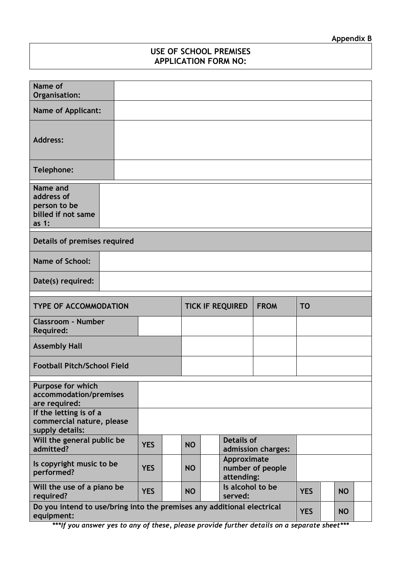### **USE OF SCHOOL PREMISES APPLICATION FORM NO:**

| Name of<br>Organisation:                                                             |  |            |                                        |  |                                               |            |  |           |           |  |
|--------------------------------------------------------------------------------------|--|------------|----------------------------------------|--|-----------------------------------------------|------------|--|-----------|-----------|--|
| <b>Name of Applicant:</b>                                                            |  |            |                                        |  |                                               |            |  |           |           |  |
| <b>Address:</b>                                                                      |  |            |                                        |  |                                               |            |  |           |           |  |
| Telephone:                                                                           |  |            |                                        |  |                                               |            |  |           |           |  |
| Name and<br>address of<br>person to be<br>billed if not same<br>as $1:$              |  |            |                                        |  |                                               |            |  |           |           |  |
| Details of premises required                                                         |  |            |                                        |  |                                               |            |  |           |           |  |
| <b>Name of School:</b>                                                               |  |            |                                        |  |                                               |            |  |           |           |  |
| Date(s) required:                                                                    |  |            |                                        |  |                                               |            |  |           |           |  |
| <b>TYPE OF ACCOMMODATION</b>                                                         |  |            | <b>FROM</b><br><b>TICK IF REQUIRED</b> |  |                                               | <b>TO</b>  |  |           |           |  |
| <b>Classroom - Number</b><br><b>Required:</b>                                        |  |            |                                        |  |                                               |            |  |           |           |  |
| <b>Assembly Hall</b>                                                                 |  |            |                                        |  |                                               |            |  |           |           |  |
| <b>Football Pitch/School Field</b>                                                   |  |            |                                        |  |                                               |            |  |           |           |  |
| Purpose for which<br>accommodation/premises<br>are required:                         |  |            |                                        |  |                                               |            |  |           |           |  |
| If the letting is of a<br>commercial nature, please<br>supply details:               |  |            |                                        |  |                                               |            |  |           |           |  |
| Will the general public be<br>admitted?                                              |  | <b>YES</b> | <b>NO</b>                              |  | <b>Details of</b><br>admission charges:       |            |  |           |           |  |
| Is copyright music to be<br>performed?                                               |  | <b>YES</b> | <b>NO</b>                              |  | Approximate<br>number of people<br>attending: |            |  |           |           |  |
| Will the use of a piano be<br>required?                                              |  | <b>YES</b> | <b>NO</b>                              |  | Is alcohol to be<br>served:                   |            |  |           | <b>NO</b> |  |
| Do you intend to use/bring into the premises any additional electrical<br>equipment: |  |            |                                        |  |                                               | <b>YES</b> |  | <b>NO</b> |           |  |

*\*\*\*If you answer yes to any of these, please provide further details on a separate sheet\*\*\**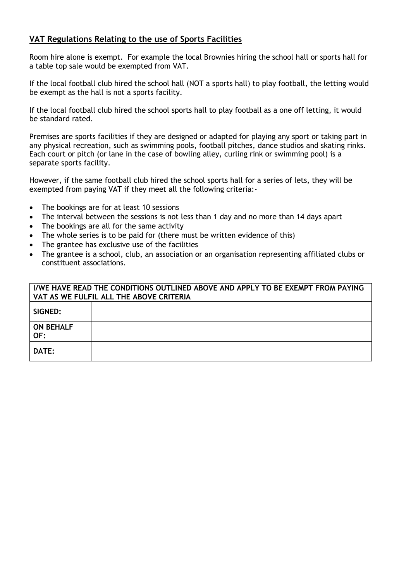### **VAT Regulations Relating to the use of Sports Facilities**

Room hire alone is exempt. For example the local Brownies hiring the school hall or sports hall for a table top sale would be exempted from VAT.

If the local football club hired the school hall (NOT a sports hall) to play football, the letting would be exempt as the hall is not a sports facility.

If the local football club hired the school sports hall to play football as a one off letting, it would be standard rated.

Premises are sports facilities if they are designed or adapted for playing any sport or taking part in any physical recreation, such as swimming pools, football pitches, dance studios and skating rinks. Each court or pitch (or lane in the case of bowling alley, curling rink or swimming pool) is a separate sports facility.

However, if the same football club hired the school sports hall for a series of lets, they will be exempted from paying VAT if they meet all the following criteria:-

- The bookings are for at least 10 sessions
- The interval between the sessions is not less than 1 day and no more than 14 days apart
- The bookings are all for the same activity
- The whole series is to be paid for (there must be written evidence of this)
- The grantee has exclusive use of the facilities
- The grantee is a school, club, an association or an organisation representing affiliated clubs or constituent associations.

| I/WE HAVE READ THE CONDITIONS OUTLINED ABOVE AND APPLY TO BE EXEMPT FROM PAYING<br>VAT AS WE FULFIL ALL THE ABOVE CRITERIA |  |  |  |  |  |  |
|----------------------------------------------------------------------------------------------------------------------------|--|--|--|--|--|--|
| SIGNED:                                                                                                                    |  |  |  |  |  |  |
| <b>ON BEHALF</b><br>OF:                                                                                                    |  |  |  |  |  |  |
| <b>DATE:</b>                                                                                                               |  |  |  |  |  |  |